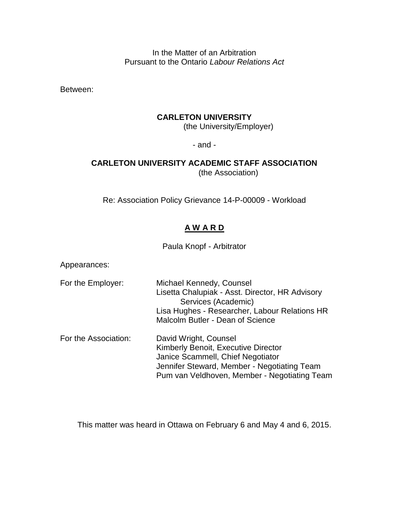In the Matter of an Arbitration Pursuant to the Ontario *Labour Relations Act*

Between:

#### **CARLETON UNIVERSITY**

(the University/Employer)

- and -

# **CARLETON UNIVERSITY ACADEMIC STAFF ASSOCIATION**

(the Association)

Re: Association Policy Grievance 14-P-00009 - Workload

# **A W A R D**

Paula Knopf - Arbitrator

Appearances:

- For the Employer: Michael Kennedy, Counsel Lisetta Chalupiak - Asst. Director, HR Advisory Services (Academic) Lisa Hughes - Researcher, Labour Relations HR Malcolm Butler - Dean of Science For the Association: David Wright, Counsel Kimberly Benoit, Executive Director
	- Janice Scammell, Chief Negotiator Jennifer Steward, Member - Negotiating Team Pum van Veldhoven, Member - Negotiating Team

This matter was heard in Ottawa on February 6 and May 4 and 6, 2015.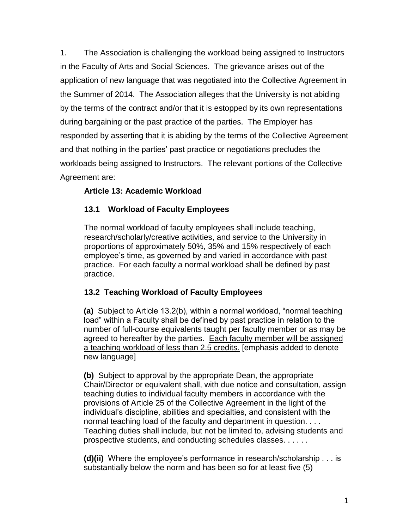1. The Association is challenging the workload being assigned to Instructors in the Faculty of Arts and Social Sciences. The grievance arises out of the application of new language that was negotiated into the Collective Agreement in the Summer of 2014. The Association alleges that the University is not abiding by the terms of the contract and/or that it is estopped by its own representations during bargaining or the past practice of the parties. The Employer has responded by asserting that it is abiding by the terms of the Collective Agreement and that nothing in the parties' past practice or negotiations precludes the workloads being assigned to Instructors. The relevant portions of the Collective Agreement are:

# **Article 13: Academic Workload**

# **13.1 Workload of Faculty Employees**

The normal workload of faculty employees shall include teaching, research/scholarly/creative activities, and service to the University in proportions of approximately 50%, 35% and 15% respectively of each employee"s time, as governed by and varied in accordance with past practice. For each faculty a normal workload shall be defined by past practice.

# **13.2 Teaching Workload of Faculty Employees**

**(a)** Subject to Article 13.2(b), within a normal workload, "normal teaching load" within a Faculty shall be defined by past practice in relation to the number of full-course equivalents taught per faculty member or as may be agreed to hereafter by the parties. Each faculty member will be assigned a teaching workload of less than 2.5 credits. [emphasis added to denote new language]

**(b)** Subject to approval by the appropriate Dean, the appropriate Chair/Director or equivalent shall, with due notice and consultation, assign teaching duties to individual faculty members in accordance with the provisions of Article 25 of the Collective Agreement in the light of the individual"s discipline, abilities and specialties, and consistent with the normal teaching load of the faculty and department in question. . . . Teaching duties shall include, but not be limited to, advising students and prospective students, and conducting schedules classes. . . . . .

**(d)(ii)** Where the employee"s performance in research/scholarship . . . is substantially below the norm and has been so for at least five (5)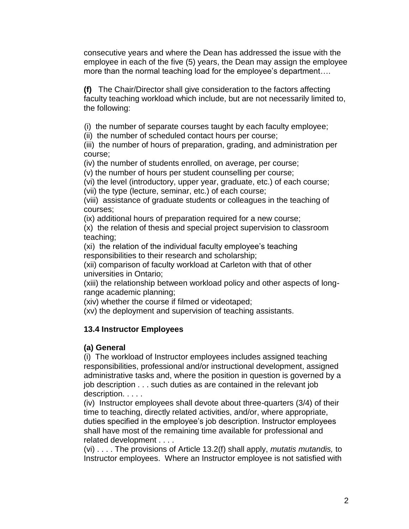consecutive years and where the Dean has addressed the issue with the employee in each of the five (5) years, the Dean may assign the employee more than the normal teaching load for the employee's department....

**(f)** The Chair/Director shall give consideration to the factors affecting faculty teaching workload which include, but are not necessarily limited to, the following:

(i) the number of separate courses taught by each faculty employee;

(ii) the number of scheduled contact hours per course;

(iii) the number of hours of preparation, grading, and administration per course;

(iv) the number of students enrolled, on average, per course;

(v) the number of hours per student counselling per course;

(vi) the level (introductory, upper year, graduate, etc.) of each course;

(vii) the type (lecture, seminar, etc.) of each course;

(viii) assistance of graduate students or colleagues in the teaching of courses;

(ix) additional hours of preparation required for a new course;

(x) the relation of thesis and special project supervision to classroom teaching;

(xi) the relation of the individual faculty employee"s teaching responsibilities to their research and scholarship;

(xii) comparison of faculty workload at Carleton with that of other universities in Ontario;

(xiii) the relationship between workload policy and other aspects of longrange academic planning;

(xiv) whether the course if filmed or videotaped;

(xv) the deployment and supervision of teaching assistants.

# **13.4 Instructor Employees**

# **(a) General**

(i) The workload of Instructor employees includes assigned teaching responsibilities, professional and/or instructional development, assigned administrative tasks and, where the position in question is governed by a job description . . . such duties as are contained in the relevant job description. . . . .

(iv) Instructor employees shall devote about three-quarters (3/4) of their time to teaching, directly related activities, and/or, where appropriate, duties specified in the employee's job description. Instructor employees shall have most of the remaining time available for professional and related development . . . .

(vi) . . . . The provisions of Article 13.2(f) shall apply, *mutatis mutandis,* to Instructor employees. Where an Instructor employee is not satisfied with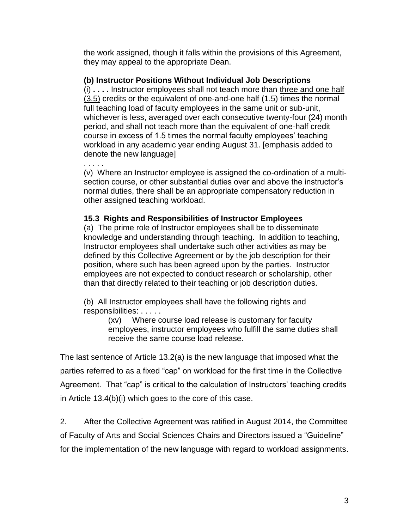the work assigned, though it falls within the provisions of this Agreement, they may appeal to the appropriate Dean.

## **(b) Instructor Positions Without Individual Job Descriptions**

(i) **. . . .** Instructor employees shall not teach more than three and one half  $(3.5)$  credits or the equivalent of one-and-one half  $(1.5)$  times the normal full teaching load of faculty employees in the same unit or sub-unit, whichever is less, averaged over each consecutive twenty-four (24) month period, and shall not teach more than the equivalent of one-half credit course in excess of 1.5 times the normal faculty employees' teaching workload in any academic year ending August 31. [emphasis added to denote the new language]

. . . . . (v) Where an Instructor employee is assigned the co-ordination of a multisection course, or other substantial duties over and above the instructor's normal duties, there shall be an appropriate compensatory reduction in other assigned teaching workload.

## **15.3 Rights and Responsibilities of Instructor Employees**

(a) The prime role of Instructor employees shall be to disseminate knowledge and understanding through teaching. In addition to teaching, Instructor employees shall undertake such other activities as may be defined by this Collective Agreement or by the job description for their position, where such has been agreed upon by the parties. Instructor employees are not expected to conduct research or scholarship, other than that directly related to their teaching or job description duties.

(b) All Instructor employees shall have the following rights and responsibilities: . . . . .

(xv) Where course load release is customary for faculty employees, instructor employees who fulfill the same duties shall receive the same course load release.

The last sentence of Article 13.2(a) is the new language that imposed what the parties referred to as a fixed "cap" on workload for the first time in the Collective Agreement. That "cap" is critical to the calculation of Instructors' teaching credits in Article 13.4(b)(i) which goes to the core of this case.

2. After the Collective Agreement was ratified in August 2014, the Committee of Faculty of Arts and Social Sciences Chairs and Directors issued a "Guideline" for the implementation of the new language with regard to workload assignments.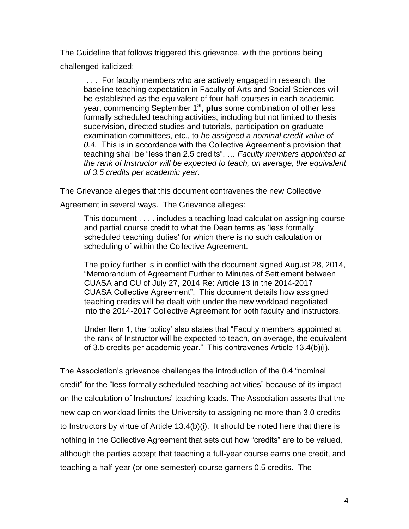The Guideline that follows triggered this grievance, with the portions being challenged italicized:

. . . For faculty members who are actively engaged in research, the baseline teaching expectation in Faculty of Arts and Social Sciences will be established as the equivalent of four half-courses in each academic year, commencing September 1<sup>st</sup>, **plus** some combination of other less formally scheduled teaching activities, including but not limited to thesis supervision, directed studies and tutorials, participation on graduate examination committees, etc., to *be assigned a nominal credit value of 0.4.* This is in accordance with the Collective Agreement"s provision that teaching shall be "less than 2.5 credits". … *Faculty members appointed at the rank of Instructor will be expected to teach, on average, the equivalent of 3.5 credits per academic year.*

The Grievance alleges that this document contravenes the new Collective

Agreement in several ways. The Grievance alleges:

This document . . . . includes a teaching load calculation assigning course and partial course credit to what the Dean terms as "less formally scheduled teaching duties' for which there is no such calculation or scheduling of within the Collective Agreement.

The policy further is in conflict with the document signed August 28, 2014, "Memorandum of Agreement Further to Minutes of Settlement between CUASA and CU of July 27, 2014 Re: Article 13 in the 2014-2017 CUASA Collective Agreement". This document details how assigned teaching credits will be dealt with under the new workload negotiated into the 2014-2017 Collective Agreement for both faculty and instructors.

Under Item 1, the "policy" also states that "Faculty members appointed at the rank of Instructor will be expected to teach, on average, the equivalent of 3.5 credits per academic year." This contravenes Article 13.4(b)(i).

The Association"s grievance challenges the introduction of the 0.4 "nominal credit" for the "less formally scheduled teaching activities" because of its impact on the calculation of Instructors" teaching loads. The Association asserts that the new cap on workload limits the University to assigning no more than 3.0 credits to Instructors by virtue of Article 13.4(b)(i). It should be noted here that there is nothing in the Collective Agreement that sets out how "credits" are to be valued, although the parties accept that teaching a full-year course earns one credit, and teaching a half-year (or one-semester) course garners 0.5 credits. The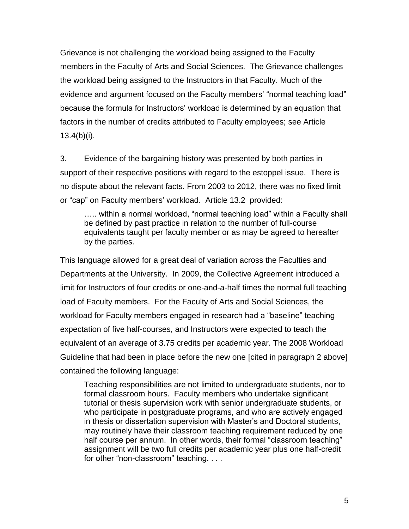Grievance is not challenging the workload being assigned to the Faculty members in the Faculty of Arts and Social Sciences. The Grievance challenges the workload being assigned to the Instructors in that Faculty. Much of the evidence and argument focused on the Faculty members' "normal teaching load" because the formula for Instructors" workload is determined by an equation that factors in the number of credits attributed to Faculty employees; see Article 13.4(b)(i).

3. Evidence of the bargaining history was presented by both parties in support of their respective positions with regard to the estoppel issue. There is no dispute about the relevant facts. From 2003 to 2012, there was no fixed limit or "cap" on Faculty members" workload. Article 13.2 provided:

..... within a normal workload, "normal teaching load" within a Faculty shall be defined by past practice in relation to the number of full-course equivalents taught per faculty member or as may be agreed to hereafter by the parties.

This language allowed for a great deal of variation across the Faculties and Departments at the University. In 2009, the Collective Agreement introduced a limit for Instructors of four credits or one-and-a-half times the normal full teaching load of Faculty members. For the Faculty of Arts and Social Sciences, the workload for Faculty members engaged in research had a "baseline" teaching expectation of five half-courses, and Instructors were expected to teach the equivalent of an average of 3.75 credits per academic year. The 2008 Workload Guideline that had been in place before the new one [cited in paragraph 2 above] contained the following language:

Teaching responsibilities are not limited to undergraduate students, nor to formal classroom hours. Faculty members who undertake significant tutorial or thesis supervision work with senior undergraduate students, or who participate in postgraduate programs, and who are actively engaged in thesis or dissertation supervision with Master"s and Doctoral students, may routinely have their classroom teaching requirement reduced by one half course per annum. In other words, their formal "classroom teaching" assignment will be two full credits per academic year plus one half-credit for other "non-classroom" teaching. . . .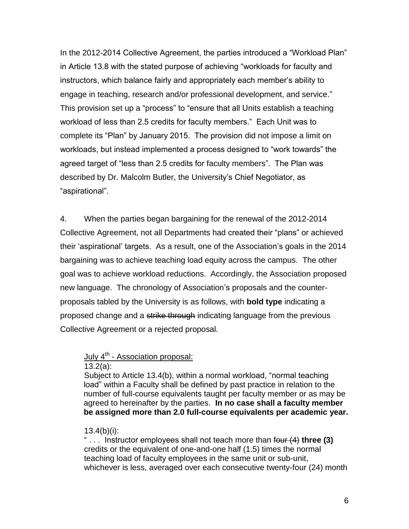In the 2012-2014 Collective Agreement, the parties introduced a "Workload Plan" in Article 13.8 with the stated purpose of achieving "workloads for faculty and instructors, which balance fairly and appropriately each member"s ability to engage in teaching, research and/or professional development, and service." This provision set up a "process" to "ensure that all Units establish a teaching workload of less than 2.5 credits for faculty members." Each Unit was to complete its "Plan" by January 2015. The provision did not impose a limit on workloads, but instead implemented a process designed to "work towards" the agreed target of "less than 2.5 credits for faculty members". The Plan was described by Dr. Malcolm Butler, the University"s Chief Negotiator, as "aspirational".

4. When the parties began bargaining for the renewal of the 2012-2014 Collective Agreement, not all Departments had created their "plans" or achieved their "aspirational" targets. As a result, one of the Association"s goals in the 2014 bargaining was to achieve teaching load equity across the campus. The other goal was to achieve workload reductions. Accordingly, the Association proposed new language. The chronology of Association"s proposals and the counterproposals tabled by the University is as follows, with **bold type** indicating a proposed change and a strike through indicating language from the previous Collective Agreement or a rejected proposal*.*

# July 4<sup>th</sup> - Association proposal:

13.2(a):

Subject to Article 13.4(b), within a normal workload, "normal teaching load" within a Faculty shall be defined by past practice in relation to the number of full-course equivalents taught per faculty member or as may be agreed to hereinafter by the parties. **In no case shall a faculty member be assigned more than 2.0 full-course equivalents per academic year.**

#### $13.4(b)(i)$ :

" . . . Instructor employees shall not teach more than four (4) **three (3)**  credits or the equivalent of one-and-one half (1.5) times the normal teaching load of faculty employees in the same unit or sub-unit, whichever is less, averaged over each consecutive twenty-four (24) month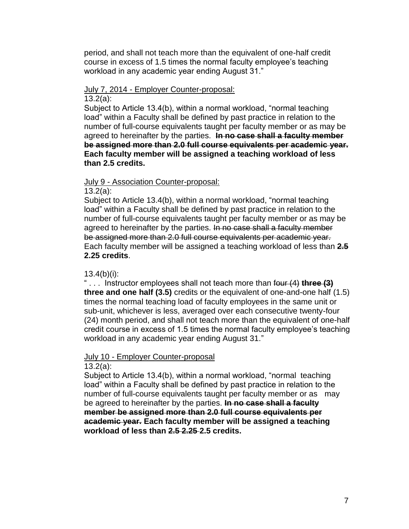period, and shall not teach more than the equivalent of one-half credit course in excess of 1.5 times the normal faculty employee"s teaching workload in any academic year ending August 31."

#### July 7, 2014 - Employer Counter-proposal: 13.2(a):

Subject to Article 13.4(b), within a normal workload, "normal teaching load" within a Faculty shall be defined by past practice in relation to the number of full-course equivalents taught per faculty member or as may be agreed to hereinafter by the parties. **In no case shall a faculty member be assigned more than 2.0 full course equivalents per academic year. Each faculty member will be assigned a teaching workload of less than 2.5 credits.**

#### July 9 - Association Counter-proposal:

13.2(a):

Subject to Article 13.4(b), within a normal workload, "normal teaching load" within a Faculty shall be defined by past practice in relation to the number of full-course equivalents taught per faculty member or as may be agreed to hereinafter by the parties. In no case shall a faculty member be assigned more than 2.0 full course equivalents per academic year. Each faculty member will be assigned a teaching workload of less than **2.5 2.25 credits**.

#### $13.4(b)(i)$ :

" . . . Instructor employees shall not teach more than four (4) **three (3) three and one half (3.5)** credits or the equivalent of one-and-one half (1.5) times the normal teaching load of faculty employees in the same unit or sub-unit, whichever is less, averaged over each consecutive twenty-four (24) month period, and shall not teach more than the equivalent of one-half credit course in excess of 1.5 times the normal faculty employee"s teaching workload in any academic year ending August 31."

#### July 10 - Employer Counter-proposal 13.2(a):

Subject to Article 13.4(b), within a normal workload, "normal teaching load" within a Faculty shall be defined by past practice in relation to the number of full-course equivalents taught per faculty member or as may be agreed to hereinafter by the parties. **In no case shall a faculty member be assigned more than 2.0 full course equivalents per academic year. Each faculty member will be assigned a teaching workload of less than 2.5 2.25 2.5 credits.**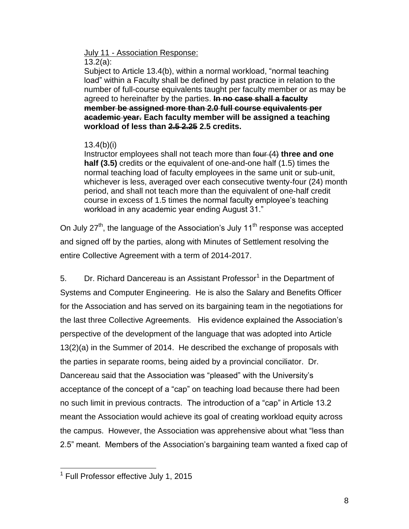# July 11 - Association Response:

#### 13.2(a):

Subject to Article 13.4(b), within a normal workload, "normal teaching load" within a Faculty shall be defined by past practice in relation to the number of full-course equivalents taught per faculty member or as may be agreed to hereinafter by the parties. **In no case shall a faculty member be assigned more than 2.0 full course equivalents per academic year. Each faculty member will be assigned a teaching workload of less than 2.5 2.25 2.5 credits.**

# 13.4(b)(i)

Instructor employees shall not teach more than four (4) **three and one half (3.5)** credits or the equivalent of one-and-one half (1.5) times the normal teaching load of faculty employees in the same unit or sub-unit, whichever is less, averaged over each consecutive twenty-four (24) month period, and shall not teach more than the equivalent of one-half credit course in excess of 1.5 times the normal faculty employee"s teaching workload in any academic year ending August 31."

On July  $27<sup>th</sup>$ , the language of the Association's July 11<sup>th</sup> response was accepted and signed off by the parties, along with Minutes of Settlement resolving the entire Collective Agreement with a term of 2014-2017.

5. Dr. Richard Dancereau is an Assistant Professor<sup>1</sup> in the Department of Systems and Computer Engineering. He is also the Salary and Benefits Officer for the Association and has served on its bargaining team in the negotiations for the last three Collective Agreements. His evidence explained the Association"s perspective of the development of the language that was adopted into Article 13(2)(a) in the Summer of 2014. He described the exchange of proposals with the parties in separate rooms, being aided by a provincial conciliator. Dr. Dancereau said that the Association was "pleased" with the University"s acceptance of the concept of a "cap" on teaching load because there had been no such limit in previous contracts. The introduction of a "cap" in Article 13.2 meant the Association would achieve its goal of creating workload equity across the campus. However, the Association was apprehensive about what "less than 2.5" meant. Members of the Association"s bargaining team wanted a fixed cap of

 1 Full Professor effective July 1, 2015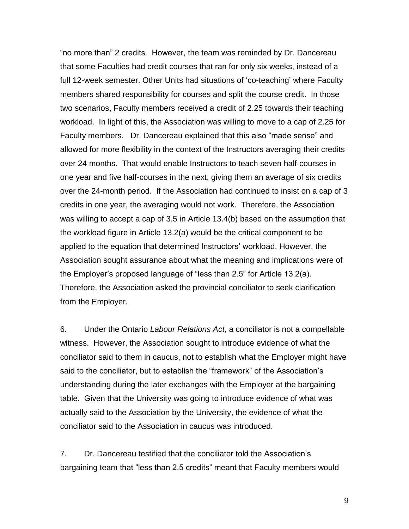"no more than" 2 credits. However, the team was reminded by Dr. Dancereau that some Faculties had credit courses that ran for only six weeks, instead of a full 12-week semester. Other Units had situations of "co-teaching" where Faculty members shared responsibility for courses and split the course credit. In those two scenarios, Faculty members received a credit of 2.25 towards their teaching workload. In light of this, the Association was willing to move to a cap of 2.25 for Faculty members. Dr. Dancereau explained that this also "made sense" and allowed for more flexibility in the context of the Instructors averaging their credits over 24 months. That would enable Instructors to teach seven half-courses in one year and five half-courses in the next, giving them an average of six credits over the 24-month period. If the Association had continued to insist on a cap of 3 credits in one year, the averaging would not work. Therefore, the Association was willing to accept a cap of 3.5 in Article 13.4(b) based on the assumption that the workload figure in Article 13.2(a) would be the critical component to be applied to the equation that determined Instructors" workload. However, the Association sought assurance about what the meaning and implications were of the Employer"s proposed language of "less than 2.5" for Article 13.2(a). Therefore, the Association asked the provincial conciliator to seek clarification from the Employer.

6. Under the Ontario *Labour Relations Act*, a conciliator is not a compellable witness. However, the Association sought to introduce evidence of what the conciliator said to them in caucus, not to establish what the Employer might have said to the conciliator, but to establish the "framework" of the Association"s understanding during the later exchanges with the Employer at the bargaining table. Given that the University was going to introduce evidence of what was actually said to the Association by the University, the evidence of what the conciliator said to the Association in caucus was introduced.

7. Dr. Dancereau testified that the conciliator told the Association"s bargaining team that "less than 2.5 credits" meant that Faculty members would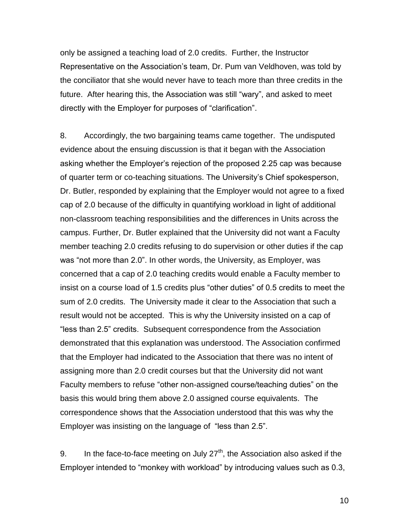only be assigned a teaching load of 2.0 credits. Further, the Instructor Representative on the Association"s team, Dr. Pum van Veldhoven, was told by the conciliator that she would never have to teach more than three credits in the future. After hearing this, the Association was still "wary", and asked to meet directly with the Employer for purposes of "clarification".

8. Accordingly, the two bargaining teams came together. The undisputed evidence about the ensuing discussion is that it began with the Association asking whether the Employer"s rejection of the proposed 2.25 cap was because of quarter term or co-teaching situations. The University"s Chief spokesperson, Dr. Butler, responded by explaining that the Employer would not agree to a fixed cap of 2.0 because of the difficulty in quantifying workload in light of additional non-classroom teaching responsibilities and the differences in Units across the campus. Further, Dr. Butler explained that the University did not want a Faculty member teaching 2.0 credits refusing to do supervision or other duties if the cap was "not more than 2.0". In other words, the University, as Employer, was concerned that a cap of 2.0 teaching credits would enable a Faculty member to insist on a course load of 1.5 credits plus "other duties" of 0.5 credits to meet the sum of 2.0 credits. The University made it clear to the Association that such a result would not be accepted. This is why the University insisted on a cap of "less than 2.5" credits. Subsequent correspondence from the Association demonstrated that this explanation was understood. The Association confirmed that the Employer had indicated to the Association that there was no intent of assigning more than 2.0 credit courses but that the University did not want Faculty members to refuse "other non-assigned course/teaching duties" on the basis this would bring them above 2.0 assigned course equivalents. The correspondence shows that the Association understood that this was why the Employer was insisting on the language of "less than 2.5".

9. In the face-to-face meeting on July  $27<sup>th</sup>$ , the Association also asked if the Employer intended to "monkey with workload" by introducing values such as 0.3,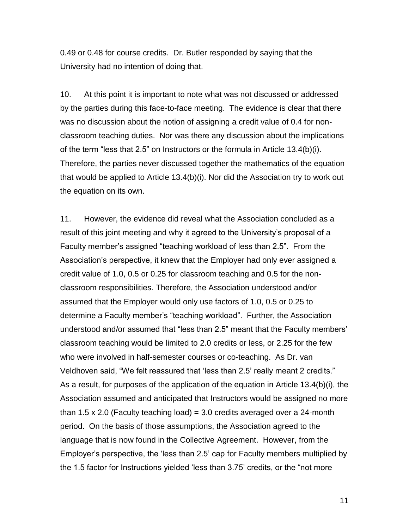0.49 or 0.48 for course credits. Dr. Butler responded by saying that the University had no intention of doing that.

10. At this point it is important to note what was not discussed or addressed by the parties during this face-to-face meeting. The evidence is clear that there was no discussion about the notion of assigning a credit value of 0.4 for nonclassroom teaching duties. Nor was there any discussion about the implications of the term "less that 2.5" on Instructors or the formula in Article 13.4(b)(i). Therefore, the parties never discussed together the mathematics of the equation that would be applied to Article 13.4(b)(i). Nor did the Association try to work out the equation on its own.

11. However, the evidence did reveal what the Association concluded as a result of this joint meeting and why it agreed to the University"s proposal of a Faculty member"s assigned "teaching workload of less than 2.5". From the Association"s perspective, it knew that the Employer had only ever assigned a credit value of 1.0, 0.5 or 0.25 for classroom teaching and 0.5 for the nonclassroom responsibilities. Therefore, the Association understood and/or assumed that the Employer would only use factors of 1.0, 0.5 or 0.25 to determine a Faculty member"s "teaching workload". Further, the Association understood and/or assumed that "less than 2.5" meant that the Faculty members" classroom teaching would be limited to 2.0 credits or less, or 2.25 for the few who were involved in half-semester courses or co-teaching. As Dr. van Veldhoven said, "We felt reassured that "less than 2.5" really meant 2 credits." As a result, for purposes of the application of the equation in Article 13.4(b)(i), the Association assumed and anticipated that Instructors would be assigned no more than 1.5 x 2.0 (Faculty teaching load) = 3.0 credits averaged over a 24-month period. On the basis of those assumptions, the Association agreed to the language that is now found in the Collective Agreement. However, from the Employer"s perspective, the "less than 2.5" cap for Faculty members multiplied by the 1.5 factor for Instructions yielded "less than 3.75" credits, or the "not more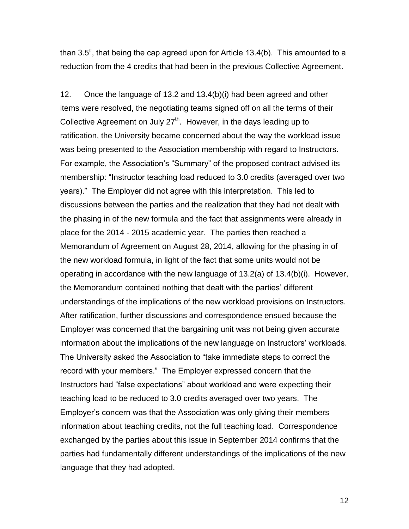than 3.5", that being the cap agreed upon for Article 13.4(b). This amounted to a reduction from the 4 credits that had been in the previous Collective Agreement.

12. Once the language of 13.2 and 13.4(b)(i) had been agreed and other items were resolved, the negotiating teams signed off on all the terms of their Collective Agreement on July  $27<sup>th</sup>$ . However, in the days leading up to ratification, the University became concerned about the way the workload issue was being presented to the Association membership with regard to Instructors. For example, the Association's "Summary" of the proposed contract advised its membership: "Instructor teaching load reduced to 3.0 credits (averaged over two years)." The Employer did not agree with this interpretation. This led to discussions between the parties and the realization that they had not dealt with the phasing in of the new formula and the fact that assignments were already in place for the 2014 - 2015 academic year. The parties then reached a Memorandum of Agreement on August 28, 2014, allowing for the phasing in of the new workload formula, in light of the fact that some units would not be operating in accordance with the new language of 13.2(a) of 13.4(b)(i). However, the Memorandum contained nothing that dealt with the parties' different understandings of the implications of the new workload provisions on Instructors. After ratification, further discussions and correspondence ensued because the Employer was concerned that the bargaining unit was not being given accurate information about the implications of the new language on Instructors' workloads. The University asked the Association to "take immediate steps to correct the record with your members." The Employer expressed concern that the Instructors had "false expectations" about workload and were expecting their teaching load to be reduced to 3.0 credits averaged over two years. The Employer"s concern was that the Association was only giving their members information about teaching credits, not the full teaching load. Correspondence exchanged by the parties about this issue in September 2014 confirms that the parties had fundamentally different understandings of the implications of the new language that they had adopted.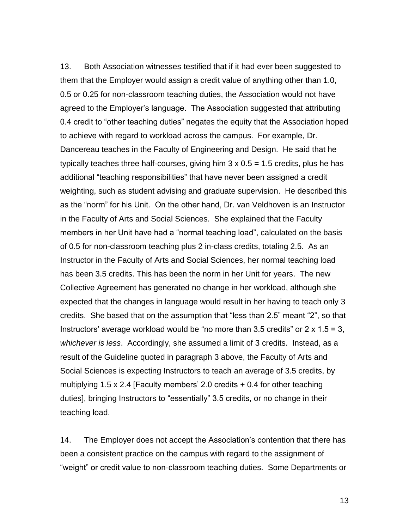13. Both Association witnesses testified that if it had ever been suggested to them that the Employer would assign a credit value of anything other than 1.0, 0.5 or 0.25 for non-classroom teaching duties, the Association would not have agreed to the Employer"s language. The Association suggested that attributing 0.4 credit to "other teaching duties" negates the equity that the Association hoped to achieve with regard to workload across the campus. For example, Dr. Dancereau teaches in the Faculty of Engineering and Design. He said that he typically teaches three half-courses, giving him  $3 \times 0.5 = 1.5$  credits, plus he has additional "teaching responsibilities" that have never been assigned a credit weighting, such as student advising and graduate supervision. He described this as the "norm" for his Unit. On the other hand, Dr. van Veldhoven is an Instructor in the Faculty of Arts and Social Sciences. She explained that the Faculty members in her Unit have had a "normal teaching load", calculated on the basis of 0.5 for non-classroom teaching plus 2 in-class credits, totaling 2.5. As an Instructor in the Faculty of Arts and Social Sciences, her normal teaching load has been 3.5 credits. This has been the norm in her Unit for years. The new Collective Agreement has generated no change in her workload, although she expected that the changes in language would result in her having to teach only 3 credits. She based that on the assumption that "less than 2.5" meant "2", so that Instructors' average workload would be "no more than 3.5 credits" or  $2 \times 1.5 = 3$ , *whichever is less*. Accordingly, she assumed a limit of 3 credits. Instead, as a result of the Guideline quoted in paragraph 3 above, the Faculty of Arts and Social Sciences is expecting Instructors to teach an average of 3.5 credits, by multiplying 1.5 x 2.4 [Faculty members' 2.0 credits  $+$  0.4 for other teaching duties], bringing Instructors to "essentially" 3.5 credits, or no change in their teaching load.

14. The Employer does not accept the Association"s contention that there has been a consistent practice on the campus with regard to the assignment of "weight" or credit value to non-classroom teaching duties. Some Departments or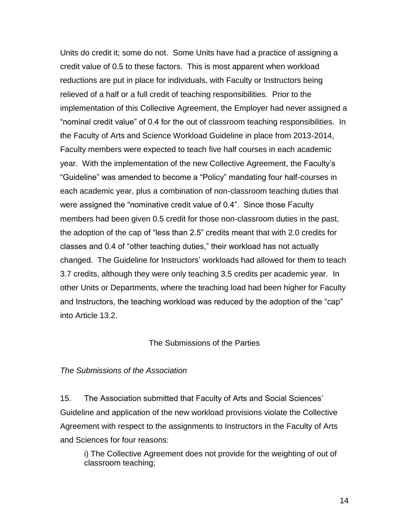Units do credit it; some do not. Some Units have had a practice of assigning a credit value of 0.5 to these factors. This is most apparent when workload reductions are put in place for individuals, with Faculty or Instructors being relieved of a half or a full credit of teaching responsibilities. Prior to the implementation of this Collective Agreement, the Employer had never assigned a "nominal credit value" of 0.4 for the out of classroom teaching responsibilities. In the Faculty of Arts and Science Workload Guideline in place from 2013-2014, Faculty members were expected to teach five half courses in each academic year. With the implementation of the new Collective Agreement, the Faculty"s "Guideline" was amended to become a "Policy" mandating four half-courses in each academic year, plus a combination of non-classroom teaching duties that were assigned the "nominative credit value of 0.4". Since those Faculty members had been given 0.5 credit for those non-classroom duties in the past, the adoption of the cap of "less than 2.5" credits meant that with 2.0 credits for classes and 0.4 of "other teaching duties," their workload has not actually changed. The Guideline for Instructors" workloads had allowed for them to teach 3.7 credits, although they were only teaching 3.5 credits per academic year. In other Units or Departments, where the teaching load had been higher for Faculty and Instructors, the teaching workload was reduced by the adoption of the "cap" into Article 13.2.

#### The Submissions of the Parties

#### *The Submissions of the Association*

15. The Association submitted that Faculty of Arts and Social Sciences" Guideline and application of the new workload provisions violate the Collective Agreement with respect to the assignments to Instructors in the Faculty of Arts and Sciences for four reasons:

i) The Collective Agreement does not provide for the weighting of out of classroom teaching;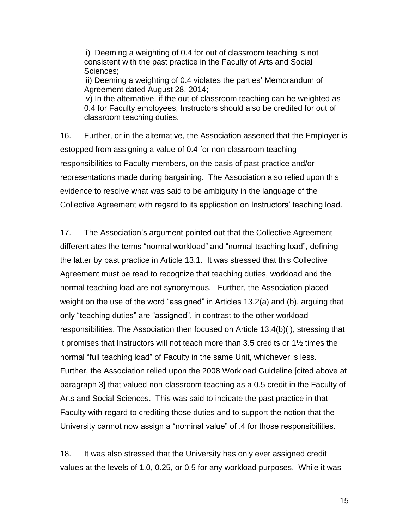ii) Deeming a weighting of 0.4 for out of classroom teaching is not consistent with the past practice in the Faculty of Arts and Social Sciences; iii) Deeming a weighting of 0.4 violates the parties' Memorandum of Agreement dated August 28, 2014; iv) In the alternative, if the out of classroom teaching can be weighted as

0.4 for Faculty employees, Instructors should also be credited for out of classroom teaching duties.

16. Further, or in the alternative, the Association asserted that the Employer is estopped from assigning a value of 0.4 for non-classroom teaching responsibilities to Faculty members, on the basis of past practice and/or representations made during bargaining. The Association also relied upon this evidence to resolve what was said to be ambiguity in the language of the Collective Agreement with regard to its application on Instructors' teaching load.

17. The Association"s argument pointed out that the Collective Agreement differentiates the terms "normal workload" and "normal teaching load", defining the latter by past practice in Article 13.1. It was stressed that this Collective Agreement must be read to recognize that teaching duties, workload and the normal teaching load are not synonymous. Further, the Association placed weight on the use of the word "assigned" in Articles 13.2(a) and (b), arguing that only "teaching duties" are "assigned", in contrast to the other workload responsibilities. The Association then focused on Article 13.4(b)(i), stressing that it promises that Instructors will not teach more than 3.5 credits or 1½ times the normal "full teaching load" of Faculty in the same Unit, whichever is less. Further, the Association relied upon the 2008 Workload Guideline [cited above at paragraph 3] that valued non-classroom teaching as a 0.5 credit in the Faculty of Arts and Social Sciences. This was said to indicate the past practice in that Faculty with regard to crediting those duties and to support the notion that the University cannot now assign a "nominal value" of .4 for those responsibilities.

18. It was also stressed that the University has only ever assigned credit values at the levels of 1.0, 0.25, or 0.5 for any workload purposes. While it was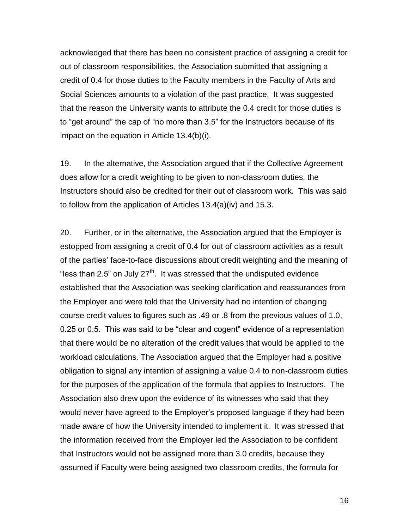acknowledged that there has been no consistent practice of assigning a credit for out of classroom responsibilities, the Association submitted that assigning a credit of 0.4 for those duties to the Faculty members in the Faculty of Arts and Social Sciences amounts to a violation of the past practice. It was suggested that the reason the University wants to attribute the 0.4 credit for those duties is to "get around" the cap of "no more than 3.5" for the Instructors because of its impact on the equation in Article 13.4(b)(i).

19. In the alternative, the Association argued that if the Collective Agreement does allow for a credit weighting to be given to non-classroom duties, the Instructors should also be credited for their out of classroom work. This was said to follow from the application of Articles 13.4(a)(iv) and 15.3.

20. Further, or in the alternative, the Association argued that the Employer is estopped from assigning a credit of 0.4 for out of classroom activities as a result of the parties" face-to-face discussions about credit weighting and the meaning of "less than 2.5" on July 27<sup>th</sup>. It was stressed that the undisputed evidence established that the Association was seeking clarification and reassurances from the Employer and were told that the University had no intention of changing course credit values to figures such as .49 or .8 from the previous values of 1.0, 0.25 or 0.5. This was said to be "clear and cogent" evidence of a representation that there would be no alteration of the credit values that would be applied to the workload calculations. The Association argued that the Employer had a positive obligation to signal any intention of assigning a value 0.4 to non-classroom duties for the purposes of the application of the formula that applies to Instructors. The Association also drew upon the evidence of its witnesses who said that they would never have agreed to the Employer"s proposed language if they had been made aware of how the University intended to implement it. It was stressed that the information received from the Employer led the Association to be confident that Instructors would not be assigned more than 3.0 credits, because they assumed if Faculty were being assigned two classroom credits, the formula for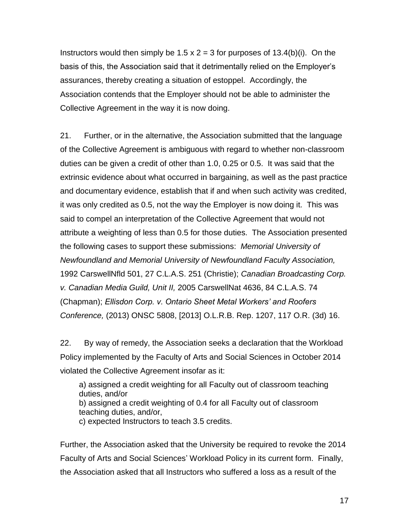Instructors would then simply be 1.5  $\times$  2 = 3 for purposes of 13.4(b)(i). On the basis of this, the Association said that it detrimentally relied on the Employer"s assurances, thereby creating a situation of estoppel. Accordingly, the Association contends that the Employer should not be able to administer the Collective Agreement in the way it is now doing.

21. Further, or in the alternative, the Association submitted that the language of the Collective Agreement is ambiguous with regard to whether non-classroom duties can be given a credit of other than 1.0, 0.25 or 0.5. It was said that the extrinsic evidence about what occurred in bargaining, as well as the past practice and documentary evidence, establish that if and when such activity was credited, it was only credited as 0.5, not the way the Employer is now doing it. This was said to compel an interpretation of the Collective Agreement that would not attribute a weighting of less than 0.5 for those duties. The Association presented the following cases to support these submissions: *Memorial University of Newfoundland and Memorial University of Newfoundland Faculty Association,*  1992 CarswellNfld 501, 27 C.L.A.S. 251 (Christie); *Canadian Broadcasting Corp. v. Canadian Media Guild, Unit II,* 2005 CarswellNat 4636, 84 C.L.A.S. 74 (Chapman); *Ellisdon Corp. v. Ontario Sheet Metal Workers' and Roofers Conference,* (2013) ONSC 5808, [2013] O.L.R.B. Rep. 1207, 117 O.R. (3d) 16.

22. By way of remedy, the Association seeks a declaration that the Workload Policy implemented by the Faculty of Arts and Social Sciences in October 2014 violated the Collective Agreement insofar as it:

a) assigned a credit weighting for all Faculty out of classroom teaching duties, and/or b) assigned a credit weighting of 0.4 for all Faculty out of classroom teaching duties, and/or,

c) expected Instructors to teach 3.5 credits.

Further, the Association asked that the University be required to revoke the 2014 Faculty of Arts and Social Sciences' Workload Policy in its current form. Finally, the Association asked that all Instructors who suffered a loss as a result of the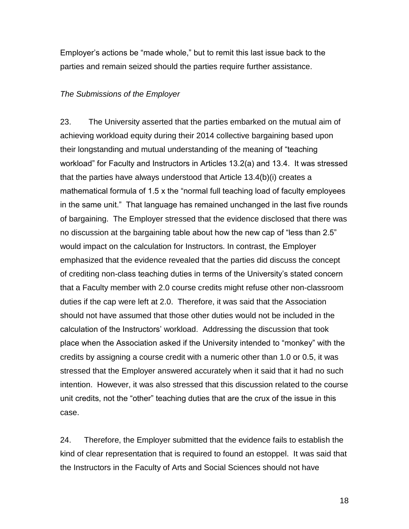Employer"s actions be "made whole," but to remit this last issue back to the parties and remain seized should the parties require further assistance.

#### *The Submissions of the Employer*

23. The University asserted that the parties embarked on the mutual aim of achieving workload equity during their 2014 collective bargaining based upon their longstanding and mutual understanding of the meaning of "teaching workload" for Faculty and Instructors in Articles 13.2(a) and 13.4. It was stressed that the parties have always understood that Article 13.4(b)(i) creates a mathematical formula of 1.5 x the "normal full teaching load of faculty employees in the same unit." That language has remained unchanged in the last five rounds of bargaining. The Employer stressed that the evidence disclosed that there was no discussion at the bargaining table about how the new cap of "less than 2.5" would impact on the calculation for Instructors. In contrast, the Employer emphasized that the evidence revealed that the parties did discuss the concept of crediting non-class teaching duties in terms of the University"s stated concern that a Faculty member with 2.0 course credits might refuse other non-classroom duties if the cap were left at 2.0. Therefore, it was said that the Association should not have assumed that those other duties would not be included in the calculation of the Instructors" workload. Addressing the discussion that took place when the Association asked if the University intended to "monkey" with the credits by assigning a course credit with a numeric other than 1.0 or 0.5, it was stressed that the Employer answered accurately when it said that it had no such intention. However, it was also stressed that this discussion related to the course unit credits, not the "other" teaching duties that are the crux of the issue in this case.

24. Therefore, the Employer submitted that the evidence fails to establish the kind of clear representation that is required to found an estoppel. It was said that the Instructors in the Faculty of Arts and Social Sciences should not have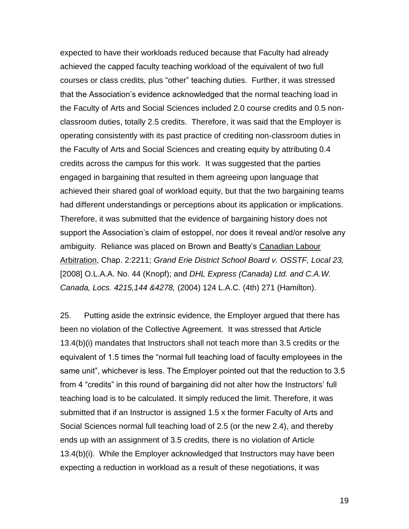expected to have their workloads reduced because that Faculty had already achieved the capped faculty teaching workload of the equivalent of two full courses or class credits, plus "other" teaching duties. Further, it was stressed that the Association"s evidence acknowledged that the normal teaching load in the Faculty of Arts and Social Sciences included 2.0 course credits and 0.5 nonclassroom duties, totally 2.5 credits. Therefore, it was said that the Employer is operating consistently with its past practice of crediting non-classroom duties in the Faculty of Arts and Social Sciences and creating equity by attributing 0.4 credits across the campus for this work. It was suggested that the parties engaged in bargaining that resulted in them agreeing upon language that achieved their shared goal of workload equity, but that the two bargaining teams had different understandings or perceptions about its application or implications. Therefore, it was submitted that the evidence of bargaining history does not support the Association's claim of estoppel, nor does it reveal and/or resolve any ambiguity. Reliance was placed on Brown and Beatty"s Canadian Labour Arbitration, Chap. 2:2211; *Grand Erie District School Board v. OSSTF, Local 23,*  [2008] O.L.A.A. No. 44 (Knopf); and *DHL Express (Canada) Ltd. and C.A.W. Canada, Locs. 4215,144 &4278,* (2004) 124 L.A.C. (4th) 271 (Hamilton).

25. Putting aside the extrinsic evidence, the Employer argued that there has been no violation of the Collective Agreement. It was stressed that Article 13.4(b)(i) mandates that Instructors shall not teach more than 3.5 credits or the equivalent of 1.5 times the "normal full teaching load of faculty employees in the same unit", whichever is less. The Employer pointed out that the reduction to 3.5 from 4 "credits" in this round of bargaining did not alter how the Instructors' full teaching load is to be calculated. It simply reduced the limit. Therefore, it was submitted that if an Instructor is assigned 1.5 x the former Faculty of Arts and Social Sciences normal full teaching load of 2.5 (or the new 2.4), and thereby ends up with an assignment of 3.5 credits, there is no violation of Article 13.4(b)(i). While the Employer acknowledged that Instructors may have been expecting a reduction in workload as a result of these negotiations, it was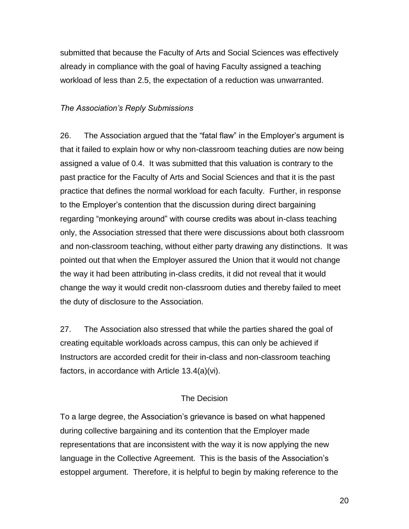submitted that because the Faculty of Arts and Social Sciences was effectively already in compliance with the goal of having Faculty assigned a teaching workload of less than 2.5, the expectation of a reduction was unwarranted.

## *The Association's Reply Submissions*

26. The Association argued that the "fatal flaw" in the Employer"s argument is that it failed to explain how or why non-classroom teaching duties are now being assigned a value of 0.4. It was submitted that this valuation is contrary to the past practice for the Faculty of Arts and Social Sciences and that it is the past practice that defines the normal workload for each faculty. Further, in response to the Employer"s contention that the discussion during direct bargaining regarding "monkeying around" with course credits was about in-class teaching only, the Association stressed that there were discussions about both classroom and non-classroom teaching, without either party drawing any distinctions. It was pointed out that when the Employer assured the Union that it would not change the way it had been attributing in-class credits, it did not reveal that it would change the way it would credit non-classroom duties and thereby failed to meet the duty of disclosure to the Association.

27. The Association also stressed that while the parties shared the goal of creating equitable workloads across campus, this can only be achieved if Instructors are accorded credit for their in-class and non-classroom teaching factors, in accordance with Article 13.4(a)(vi).

#### The Decision

To a large degree, the Association"s grievance is based on what happened during collective bargaining and its contention that the Employer made representations that are inconsistent with the way it is now applying the new language in the Collective Agreement. This is the basis of the Association's estoppel argument. Therefore, it is helpful to begin by making reference to the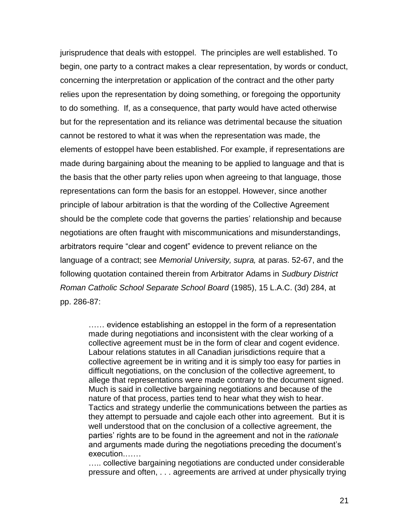jurisprudence that deals with estoppel. The principles are well established. To begin, one party to a contract makes a clear representation, by words or conduct, concerning the interpretation or application of the contract and the other party relies upon the representation by doing something, or foregoing the opportunity to do something. If, as a consequence, that party would have acted otherwise but for the representation and its reliance was detrimental because the situation cannot be restored to what it was when the representation was made, the elements of estoppel have been established. For example, if representations are made during bargaining about the meaning to be applied to language and that is the basis that the other party relies upon when agreeing to that language, those representations can form the basis for an estoppel. However, since another principle of labour arbitration is that the wording of the Collective Agreement should be the complete code that governs the parties' relationship and because negotiations are often fraught with miscommunications and misunderstandings, arbitrators require "clear and cogent" evidence to prevent reliance on the language of a contract; see *Memorial University, supra,* at paras. 52-67, and the following quotation contained therein from Arbitrator Adams in *Sudbury District Roman Catholic School Separate School Board* (1985), 15 L.A.C. (3d) 284, at pp. 286-87:

…… evidence establishing an estoppel in the form of a representation made during negotiations and inconsistent with the clear working of a collective agreement must be in the form of clear and cogent evidence. Labour relations statutes in all Canadian jurisdictions require that a collective agreement be in writing and it is simply too easy for parties in difficult negotiations, on the conclusion of the collective agreement, to allege that representations were made contrary to the document signed. Much is said in collective bargaining negotiations and because of the nature of that process, parties tend to hear what they wish to hear. Tactics and strategy underlie the communications between the parties as they attempt to persuade and cajole each other into agreement. But it is well understood that on the conclusion of a collective agreement, the parties" rights are to be found in the agreement and not in the *rationale*  and arguments made during the negotiations preceding the document"s execution.……

..... collective bargaining negotiations are conducted under considerable pressure and often, . . . agreements are arrived at under physically trying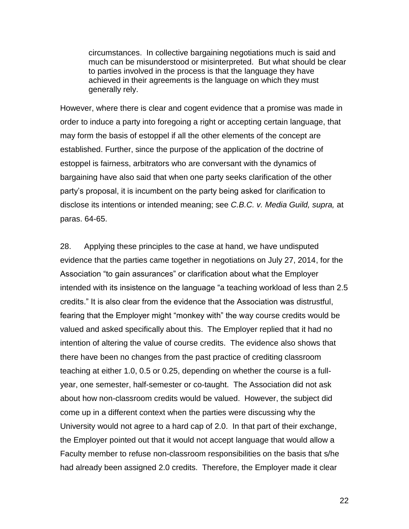circumstances. In collective bargaining negotiations much is said and much can be misunderstood or misinterpreted. But what should be clear to parties involved in the process is that the language they have achieved in their agreements is the language on which they must generally rely.

However, where there is clear and cogent evidence that a promise was made in order to induce a party into foregoing a right or accepting certain language, that may form the basis of estoppel if all the other elements of the concept are established. Further, since the purpose of the application of the doctrine of estoppel is fairness, arbitrators who are conversant with the dynamics of bargaining have also said that when one party seeks clarification of the other party"s proposal, it is incumbent on the party being asked for clarification to disclose its intentions or intended meaning; see *C.B.C. v. Media Guild, supra,* at paras. 64-65.

28. Applying these principles to the case at hand, we have undisputed evidence that the parties came together in negotiations on July 27, 2014, for the Association "to gain assurances" or clarification about what the Employer intended with its insistence on the language "a teaching workload of less than 2.5 credits." It is also clear from the evidence that the Association was distrustful, fearing that the Employer might "monkey with" the way course credits would be valued and asked specifically about this. The Employer replied that it had no intention of altering the value of course credits. The evidence also shows that there have been no changes from the past practice of crediting classroom teaching at either 1.0, 0.5 or 0.25, depending on whether the course is a fullyear, one semester, half-semester or co-taught. The Association did not ask about how non-classroom credits would be valued. However, the subject did come up in a different context when the parties were discussing why the University would not agree to a hard cap of 2.0. In that part of their exchange, the Employer pointed out that it would not accept language that would allow a Faculty member to refuse non-classroom responsibilities on the basis that s/he had already been assigned 2.0 credits. Therefore, the Employer made it clear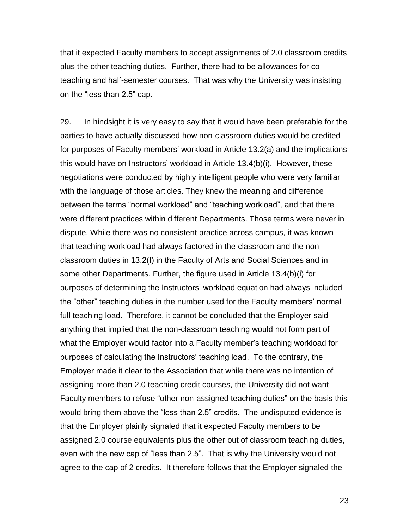that it expected Faculty members to accept assignments of 2.0 classroom credits plus the other teaching duties. Further, there had to be allowances for coteaching and half-semester courses. That was why the University was insisting on the "less than 2.5" cap.

29. In hindsight it is very easy to say that it would have been preferable for the parties to have actually discussed how non-classroom duties would be credited for purposes of Faculty members" workload in Article 13.2(a) and the implications this would have on Instructors" workload in Article 13.4(b)(i). However, these negotiations were conducted by highly intelligent people who were very familiar with the language of those articles. They knew the meaning and difference between the terms "normal workload" and "teaching workload", and that there were different practices within different Departments. Those terms were never in dispute. While there was no consistent practice across campus, it was known that teaching workload had always factored in the classroom and the nonclassroom duties in 13.2(f) in the Faculty of Arts and Social Sciences and in some other Departments. Further, the figure used in Article 13.4(b)(i) for purposes of determining the Instructors" workload equation had always included the "other" teaching duties in the number used for the Faculty members" normal full teaching load. Therefore, it cannot be concluded that the Employer said anything that implied that the non-classroom teaching would not form part of what the Employer would factor into a Faculty member's teaching workload for purposes of calculating the Instructors" teaching load. To the contrary, the Employer made it clear to the Association that while there was no intention of assigning more than 2.0 teaching credit courses, the University did not want Faculty members to refuse "other non-assigned teaching duties" on the basis this would bring them above the "less than 2.5" credits. The undisputed evidence is that the Employer plainly signaled that it expected Faculty members to be assigned 2.0 course equivalents plus the other out of classroom teaching duties, even with the new cap of "less than 2.5". That is why the University would not agree to the cap of 2 credits. It therefore follows that the Employer signaled the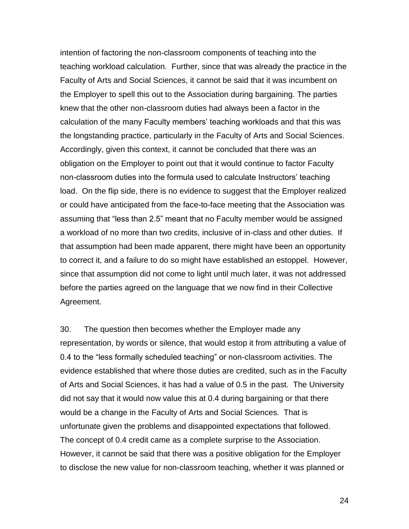intention of factoring the non-classroom components of teaching into the teaching workload calculation. Further, since that was already the practice in the Faculty of Arts and Social Sciences, it cannot be said that it was incumbent on the Employer to spell this out to the Association during bargaining. The parties knew that the other non-classroom duties had always been a factor in the calculation of the many Faculty members" teaching workloads and that this was the longstanding practice, particularly in the Faculty of Arts and Social Sciences. Accordingly, given this context, it cannot be concluded that there was an obligation on the Employer to point out that it would continue to factor Faculty non-classroom duties into the formula used to calculate Instructors" teaching load. On the flip side, there is no evidence to suggest that the Employer realized or could have anticipated from the face-to-face meeting that the Association was assuming that "less than 2.5" meant that no Faculty member would be assigned a workload of no more than two credits, inclusive of in-class and other duties. If that assumption had been made apparent, there might have been an opportunity to correct it, and a failure to do so might have established an estoppel. However, since that assumption did not come to light until much later, it was not addressed before the parties agreed on the language that we now find in their Collective Agreement.

30. The question then becomes whether the Employer made any representation, by words or silence, that would estop it from attributing a value of 0.4 to the "less formally scheduled teaching" or non-classroom activities. The evidence established that where those duties are credited, such as in the Faculty of Arts and Social Sciences, it has had a value of 0.5 in the past. The University did not say that it would now value this at 0.4 during bargaining or that there would be a change in the Faculty of Arts and Social Sciences. That is unfortunate given the problems and disappointed expectations that followed. The concept of 0.4 credit came as a complete surprise to the Association. However, it cannot be said that there was a positive obligation for the Employer to disclose the new value for non-classroom teaching, whether it was planned or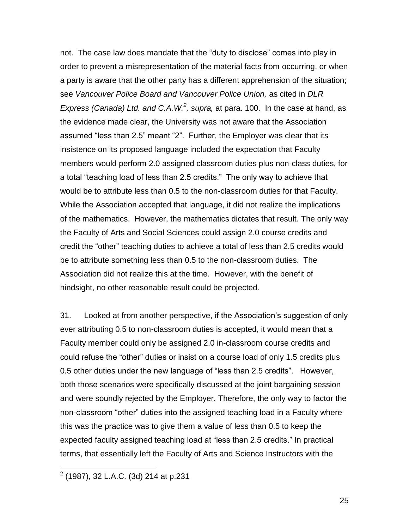not. The case law does mandate that the "duty to disclose" comes into play in order to prevent a misrepresentation of the material facts from occurring, or when a party is aware that the other party has a different apprehension of the situation; see *Vancouver Police Board and Vancouver Police Union,* as cited in *DLR Express (Canada) Ltd. and C.A.W.<sup>2</sup> , supra,* at para. 100. In the case at hand, as the evidence made clear, the University was not aware that the Association assumed "less than 2.5" meant "2". Further, the Employer was clear that its insistence on its proposed language included the expectation that Faculty members would perform 2.0 assigned classroom duties plus non-class duties, for a total "teaching load of less than 2.5 credits." The only way to achieve that would be to attribute less than 0.5 to the non-classroom duties for that Faculty. While the Association accepted that language, it did not realize the implications of the mathematics. However, the mathematics dictates that result. The only way the Faculty of Arts and Social Sciences could assign 2.0 course credits and credit the "other" teaching duties to achieve a total of less than 2.5 credits would be to attribute something less than 0.5 to the non-classroom duties. The Association did not realize this at the time. However, with the benefit of hindsight, no other reasonable result could be projected.

31. Looked at from another perspective, if the Association"s suggestion of only ever attributing 0.5 to non-classroom duties is accepted, it would mean that a Faculty member could only be assigned 2.0 in-classroom course credits and could refuse the "other" duties or insist on a course load of only 1.5 credits plus 0.5 other duties under the new language of "less than 2.5 credits". However, both those scenarios were specifically discussed at the joint bargaining session and were soundly rejected by the Employer. Therefore, the only way to factor the non-classroom "other" duties into the assigned teaching load in a Faculty where this was the practice was to give them a value of less than 0.5 to keep the expected faculty assigned teaching load at "less than 2.5 credits." In practical terms, that essentially left the Faculty of Arts and Science Instructors with the

 2 (1987), 32 L.A.C. (3d) 214 at p.231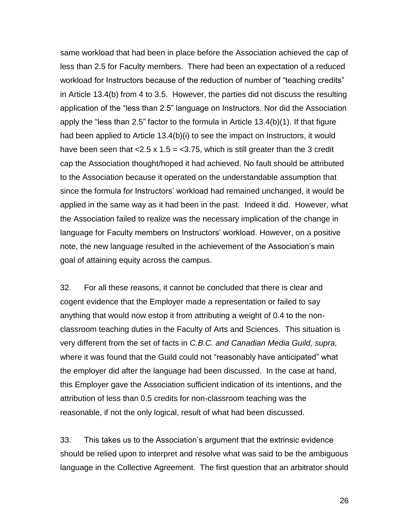same workload that had been in place before the Association achieved the cap of less than 2.5 for Faculty members. There had been an expectation of a reduced workload for Instructors because of the reduction of number of "teaching credits" in Article 13.4(b) from 4 to 3.5. However, the parties did not discuss the resulting application of the "less than 2.5" language on Instructors. Nor did the Association apply the "less than 2.5" factor to the formula in Article 13.4(b)(1). If that figure had been applied to Article 13.4(b)(i) to see the impact on Instructors, it would have been seen that  $< 2.5 \times 1.5 = < 3.75$ , which is still greater than the 3 credit cap the Association thought/hoped it had achieved. No fault should be attributed to the Association because it operated on the understandable assumption that since the formula for Instructors' workload had remained unchanged, it would be applied in the same way as it had been in the past. Indeed it did. However, what the Association failed to realize was the necessary implication of the change in language for Faculty members on Instructors" workload. However, on a positive note, the new language resulted in the achievement of the Association"s main goal of attaining equity across the campus.

32. For all these reasons, it cannot be concluded that there is clear and cogent evidence that the Employer made a representation or failed to say anything that would now estop it from attributing a weight of 0.4 to the nonclassroom teaching duties in the Faculty of Arts and Sciences. This situation is very different from the set of facts in *C.B.C. and Canadian Media Guild, supra,* where it was found that the Guild could not "reasonably have anticipated" what the employer did after the language had been discussed. In the case at hand, this Employer gave the Association sufficient indication of its intentions, and the attribution of less than 0.5 credits for non-classroom teaching was the reasonable, if not the only logical, result of what had been discussed.

33. This takes us to the Association"s argument that the extrinsic evidence should be relied upon to interpret and resolve what was said to be the ambiguous language in the Collective Agreement. The first question that an arbitrator should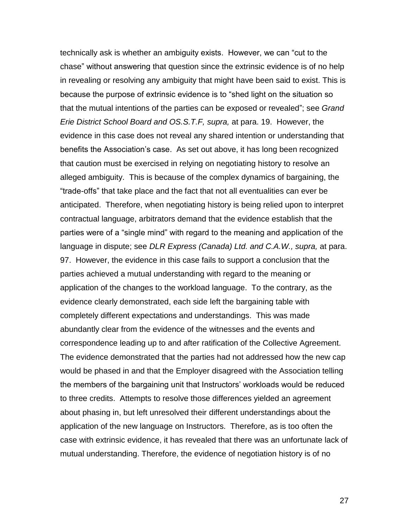technically ask is whether an ambiguity exists. However, we can "cut to the chase" without answering that question since the extrinsic evidence is of no help in revealing or resolving any ambiguity that might have been said to exist. This is because the purpose of extrinsic evidence is to "shed light on the situation so that the mutual intentions of the parties can be exposed or revealed"; see *Grand Erie District School Board and OS.S.T.F, supra,* at para. 19. However, the evidence in this case does not reveal any shared intention or understanding that benefits the Association's case. As set out above, it has long been recognized that caution must be exercised in relying on negotiating history to resolve an alleged ambiguity. This is because of the complex dynamics of bargaining, the "trade-offs" that take place and the fact that not all eventualities can ever be anticipated. Therefore, when negotiating history is being relied upon to interpret contractual language, arbitrators demand that the evidence establish that the parties were of a "single mind" with regard to the meaning and application of the language in dispute; see *DLR Express (Canada) Ltd. and C.A.W., supra,* at para. 97. However, the evidence in this case fails to support a conclusion that the parties achieved a mutual understanding with regard to the meaning or application of the changes to the workload language. To the contrary, as the evidence clearly demonstrated, each side left the bargaining table with completely different expectations and understandings. This was made abundantly clear from the evidence of the witnesses and the events and correspondence leading up to and after ratification of the Collective Agreement. The evidence demonstrated that the parties had not addressed how the new cap would be phased in and that the Employer disagreed with the Association telling the members of the bargaining unit that Instructors' workloads would be reduced to three credits. Attempts to resolve those differences yielded an agreement about phasing in, but left unresolved their different understandings about the application of the new language on Instructors. Therefore, as is too often the case with extrinsic evidence, it has revealed that there was an unfortunate lack of mutual understanding. Therefore, the evidence of negotiation history is of no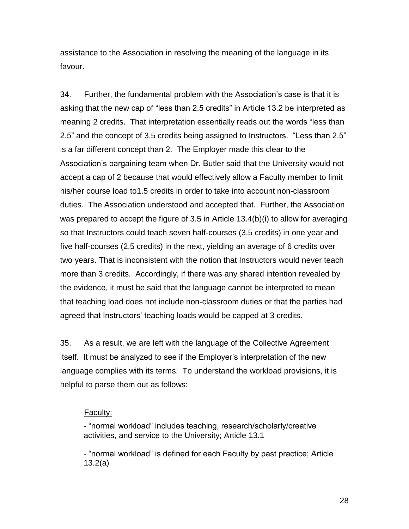assistance to the Association in resolving the meaning of the language in its favour.

34. Further, the fundamental problem with the Association"s case is that it is asking that the new cap of "less than 2.5 credits" in Article 13.2 be interpreted as meaning 2 credits. That interpretation essentially reads out the words "less than 2.5" and the concept of 3.5 credits being assigned to Instructors. "Less than 2.5" is a far different concept than 2. The Employer made this clear to the Association"s bargaining team when Dr. Butler said that the University would not accept a cap of 2 because that would effectively allow a Faculty member to limit his/her course load to1.5 credits in order to take into account non-classroom duties. The Association understood and accepted that. Further, the Association was prepared to accept the figure of 3.5 in Article 13.4(b)(i) to allow for averaging so that Instructors could teach seven half-courses (3.5 credits) in one year and five half-courses (2.5 credits) in the next, yielding an average of 6 credits over two years. That is inconsistent with the notion that Instructors would never teach more than 3 credits. Accordingly, if there was any shared intention revealed by the evidence, it must be said that the language cannot be interpreted to mean that teaching load does not include non-classroom duties or that the parties had agreed that Instructors' teaching loads would be capped at 3 credits.

35. As a result, we are left with the language of the Collective Agreement itself. It must be analyzed to see if the Employer"s interpretation of the new language complies with its terms. To understand the workload provisions, it is helpful to parse them out as follows:

#### Faculty:

- "normal workload" includes teaching, research/scholarly/creative activities, and service to the University; Article 13.1

- "normal workload" is defined for each Faculty by past practice; Article 13.2(a)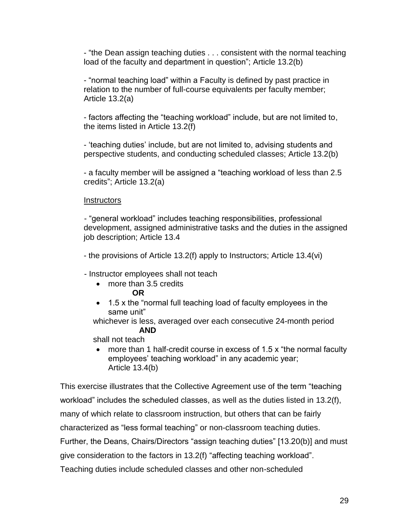- "the Dean assign teaching duties . . . consistent with the normal teaching load of the faculty and department in question"; Article 13.2(b)

- "normal teaching load" within a Faculty is defined by past practice in relation to the number of full-course equivalents per faculty member; Article 13.2(a)

- factors affecting the "teaching workload" include, but are not limited to, the items listed in Article 13.2(f)

- "teaching duties" include, but are not limited to, advising students and perspective students, and conducting scheduled classes; Article 13.2(b)

- a faculty member will be assigned a "teaching workload of less than 2.5 credits"; Article 13.2(a)

## **Instructors**

- "general workload" includes teaching responsibilities, professional development, assigned administrative tasks and the duties in the assigned job description; Article 13.4

- the provisions of Article 13.2(f) apply to Instructors; Article 13.4(vi)

- Instructor employees shall not teach

- more than 3.5 credits
	- **OR**
- 1.5 x the "normal full teaching load of faculty employees in the same unit"

 whichever is less, averaged over each consecutive 24-month period  **AND**

shall not teach

• more than 1 half-credit course in excess of 1.5 x "the normal faculty employees' teaching workload" in any academic year; Article 13.4(b)

This exercise illustrates that the Collective Agreement use of the term "teaching workload" includes the scheduled classes, as well as the duties listed in 13.2(f), many of which relate to classroom instruction, but others that can be fairly characterized as "less formal teaching" or non-classroom teaching duties. Further, the Deans, Chairs/Directors "assign teaching duties" [13.20(b)] and must give consideration to the factors in 13.2(f) "affecting teaching workload". Teaching duties include scheduled classes and other non-scheduled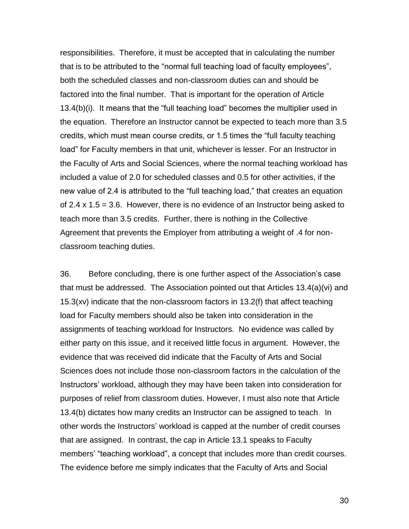responsibilities. Therefore, it must be accepted that in calculating the number that is to be attributed to the "normal full teaching load of faculty employees", both the scheduled classes and non-classroom duties can and should be factored into the final number. That is important for the operation of Article 13.4(b)(i). It means that the "full teaching load" becomes the multiplier used in the equation. Therefore an Instructor cannot be expected to teach more than 3.5 credits, which must mean course credits, or 1.5 times the "full faculty teaching load" for Faculty members in that unit, whichever is lesser. For an Instructor in the Faculty of Arts and Social Sciences, where the normal teaching workload has included a value of 2.0 for scheduled classes and 0.5 for other activities, if the new value of 2.4 is attributed to the "full teaching load," that creates an equation of 2.4  $\times$  1.5 = 3.6. However, there is no evidence of an Instructor being asked to teach more than 3.5 credits. Further, there is nothing in the Collective Agreement that prevents the Employer from attributing a weight of .4 for nonclassroom teaching duties.

36. Before concluding, there is one further aspect of the Association"s case that must be addressed. The Association pointed out that Articles 13.4(a)(vi) and 15.3(xv) indicate that the non-classroom factors in 13.2(f) that affect teaching load for Faculty members should also be taken into consideration in the assignments of teaching workload for Instructors. No evidence was called by either party on this issue, and it received little focus in argument. However, the evidence that was received did indicate that the Faculty of Arts and Social Sciences does not include those non-classroom factors in the calculation of the Instructors" workload, although they may have been taken into consideration for purposes of relief from classroom duties. However, I must also note that Article 13.4(b) dictates how many credits an Instructor can be assigned to teach. In other words the Instructors" workload is capped at the number of credit courses that are assigned. In contrast, the cap in Article 13.1 speaks to Faculty members' "teaching workload", a concept that includes more than credit courses. The evidence before me simply indicates that the Faculty of Arts and Social